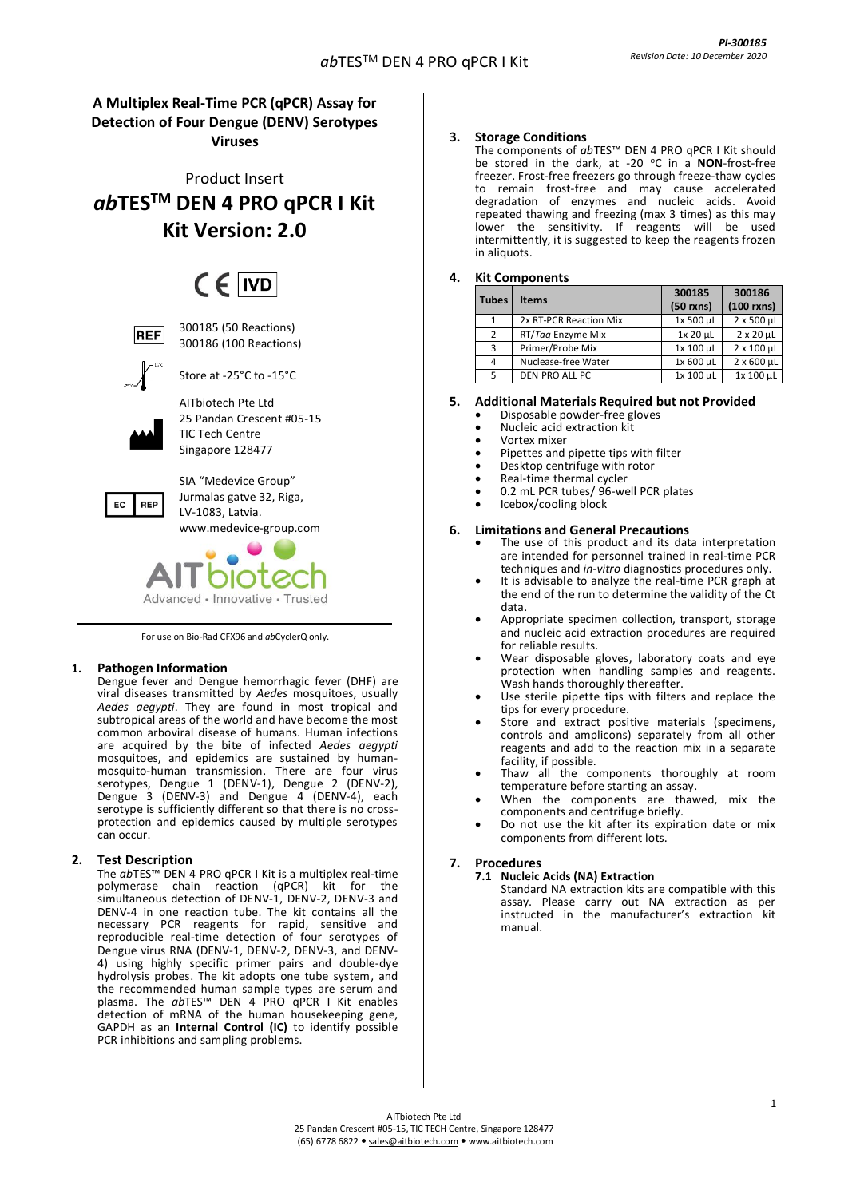## **A Multiplex Real-Time PCR (qPCR) Assay for Detection of Four Dengue (DENV) Serotypes Viruses**

Product Insert *ab***TESTM DEN 4 PRO qPCR I Kit Kit Version: 2.0**

# $CF$  IVD



300185 (50 Reactions) 300186 (100 Reactions)



Store at -25°C to -15°C

AITbiotech Pte Ltd 25 Pandan Crescent #05-15 TIC Tech Centre Singapore 128477



SIA "Medevice Group" Jurmalas gatve 32, Riga, LV-1083, Latvia. [www.medevice-group.com](http://www.medevice-group.com/)



For use on Bio-Rad CFX96 and *ab*CyclerQ only.

## **1. Pathogen Information**

Dengue fever and Dengue hemorrhagic fever (DHF) are viral diseases transmitted by *Aedes* mosquitoes, usually *Aedes aegypti*. They are found in most tropical and subtropical areas of the world and have become the most common arboviral disease of humans. Human infections are acquired by the bite of infected *Aedes aegypti* mosquitoes, and epidemics are sustained by humanmosquito-human transmission. There are four virus serotypes, Dengue 1 (DENV-1), Dengue 2 (DENV-2), Dengue 3 (DENV-3) and Dengue 4 (DENV-4), each serotype is sufficiently different so that there is no crossprotection and epidemics caused by multiple serotypes can occur.

## **2. Test Description**

The *ab*TES™ DEN 4 PRO qPCR I Kit is a multiplex real-time polymerase chain reaction (qPCR) kit for the simultaneous detection of DENV-1, DENV-2, DENV-3 and DENV-4 in one reaction tube. The kit contains all the necessary PCR reagents for rapid, sensitive and reproducible real-time detection of four serotypes of Dengue virus RNA (DENV-1, DENV-2, DENV-3, and DENV-4) using highly specific primer pairs and double-dye hydrolysis probes. The kit adopts one tube system, and the recommended human sample types are serum and plasma. The *ab*TES™ DEN 4 PRO qPCR I Kit enables detection of mRNA of the human housekeeping gene, GAPDH as an **Internal Control (IC)** to identify possible PCR inhibitions and sampling problems.

## **3. Storage Conditions**

The components of *ab*TES™ DEN 4 PRO qPCR I Kit should be stored in the dark, at -20 °C in a **NON**-frost-free freezer. Frost-free freezers go through freeze-thaw cycles to remain frost-free and may cause accelerated degradation of enzymes and nucleic acids. Avoid repeated thawing and freezing (max 3 times) as this may lower the sensitivity. If reagents will be used intermittently, it is suggested to keep the reagents frozen in aliquots.

## **4. Kit Components**

| <b>Tubes</b> | <b>Items</b>           | 300185<br>$(50$ rxns) | 300186<br>$(100$ rxns) |
|--------------|------------------------|-----------------------|------------------------|
| 1            | 2x RT-PCR Reaction Mix | 1x 500 µL             | $2 \times 500$ µL      |
| 2            | RT/Tag Enzyme Mix      | 1x 20 µL              | $2 \times 20 \mu L$    |
| 3            | Primer/Probe Mix       | 1x 100 µL             | $2 \times 100$ µL      |
| 4            | Nuclease-free Water    | 1x 600 µL             | $2 \times 600$ µL      |
| 5            | DEN PRO ALL PC         | 1x 100 µL             | 1x 100 µL              |

#### **5. Additional Materials Required but not Provided** • Disposable powder-free gloves

- Nucleic acid extraction kit
- Vortex mixer
- 
- Pipettes and pipette tips with filter Desktop centrifuge with rotor
- Real-time thermal cycler
- 0.2 mL PCR tubes/ 96-well PCR plates
- Icebox/cooling block

## **6. Limitations and General Precautions**

- The use of this product and its data interpretation are intended for personnel trained in real-time PCR techniques and *in-vitro* diagnostics procedures only.
- It is advisable to analyze the real-time PCR graph at the end of the run to determine the validity of the Ct data.
- Appropriate specimen collection, transport, storage and nucleic acid extraction procedures are required for reliable results.
- Wear disposable gloves, laboratory coats and eye protection when handling samples and reagents. Wash hands thoroughly thereafter.
- Use sterile pipette tips with filters and replace the tips for every procedure.
- Store and extract positive materials (specimens, controls and amplicons) separately from all other reagents and add to the reaction mix in a separate facility, if possible.
- Thaw all the components thoroughly at room temperature before starting an assay.
- When the components are thawed, mix the components and centrifuge briefly.
- Do not use the kit after its expiration date or mix components from different lots.

## **7. Procedures**

- **7.1 Nucleic Acids (NA) Extraction**
	- Standard NA extraction kits are compatible with this assay. Please carry out NA extraction as per instructed in the manufacturer's extraction kit manual.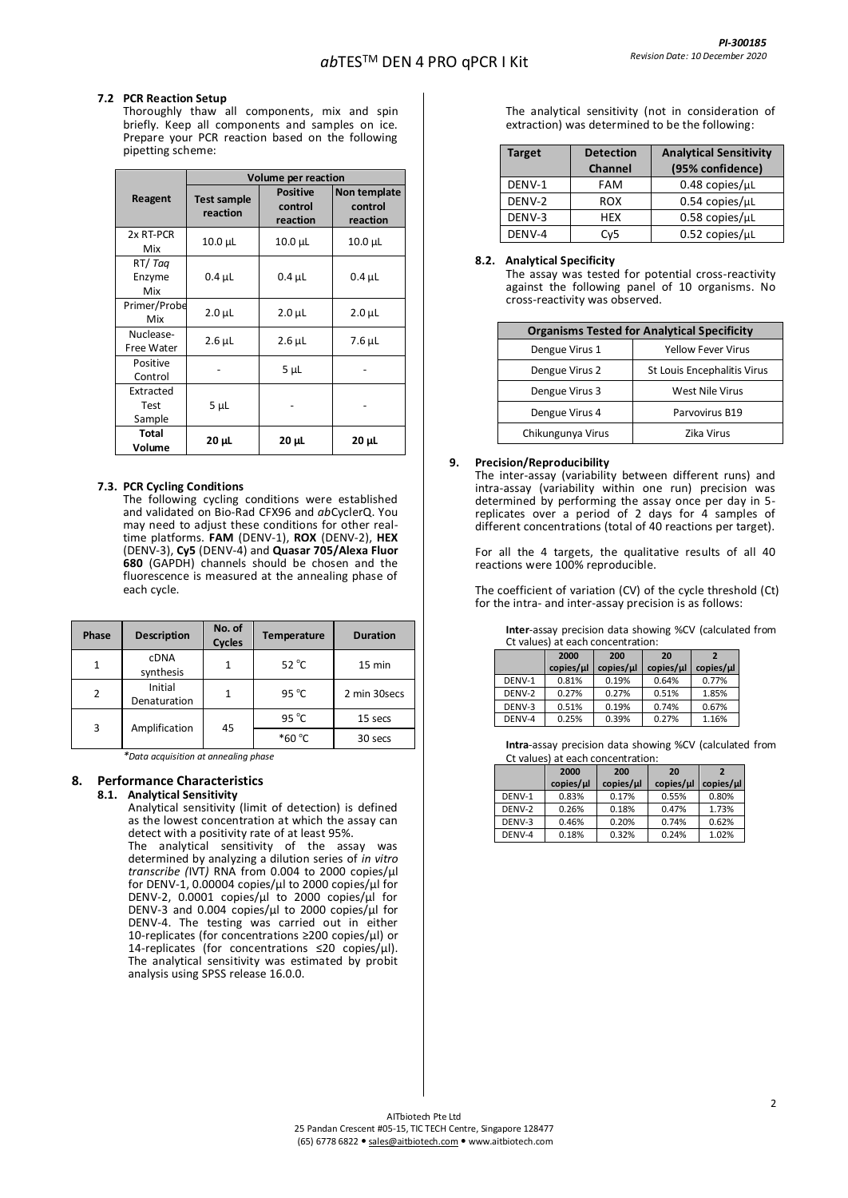### **7.2 PCR Reaction Setup**

Thoroughly thaw all components, mix and spin briefly. Keep all components and samples on ice. Prepare your PCR reaction based on the following pipetting scheme:

|                             | Volume per reaction     |                                        |                                     |  |
|-----------------------------|-------------------------|----------------------------------------|-------------------------------------|--|
| Reagent                     | Test sample<br>reaction | <b>Positive</b><br>control<br>reaction | Non template<br>control<br>reaction |  |
| 2x RT-PCR<br>Mix            | $10.0 \mu L$            | $10.0 \mu L$                           | 10.0 µL                             |  |
| RT/Tag<br>Enzyme<br>Mix     | $0.4 \mu L$             | $0.4 \mu L$                            | $0.4 \mu L$                         |  |
| Primer/Probe<br>Mix         | $2.0 \mu L$             | $2.0 \mu L$                            | $2.0 \mu L$                         |  |
| Nuclease-<br>Free Water     | $2.6$ µL                | $2.6$ $\mu$ L                          | 7.6 µL                              |  |
| Positive<br>Control         |                         | $5 \mu L$                              |                                     |  |
| Extracted<br>Test<br>Sample | $5 \mu L$               |                                        |                                     |  |
| Total<br>Volume             | $20 \mu L$              | 20 µL                                  | $20 \mu L$                          |  |

#### **7.3. PCR Cycling Conditions**

The following cycling conditions were established and validated on Bio-Rad CFX96 and *ab*CyclerQ. You may need to adjust these conditions for other realtime platforms. **FAM** (DENV-1), **ROX** (DENV-2), **HEX** (DENV-3), **Cy5** (DENV-4) and **Quasar 705/Alexa Fluor 680** (GAPDH) channels should be chosen and the fluorescence is measured at the annealing phase of each cycle.

| Phase          | <b>Description</b>       | No. of<br><b>Cycles</b> | Temperature     | <b>Duration</b> |
|----------------|--------------------------|-------------------------|-----------------|-----------------|
|                | <b>CDNA</b><br>synthesis | 1                       | $52^{\circ}$ C  | 15 min          |
| $\overline{2}$ | Initial<br>Denaturation  | 1                       | 95 $^{\circ}$ C | 2 min 30secs    |
| 3              | Amplification            | 45                      | 95 $^{\circ}$ C | 15 secs         |
|                |                          |                         | $*60 °C$        | 30 secs         |

*\*Data acquisition at annealing phase*

## **8. Performance Characteristics**

## **8.1. Analytical Sensitivity**

Analytical sensitivity (limit of detection) is defined as the lowest concentration at which the assay can detect with a positivity rate of at least 95%.

The analytical sensitivity of the assay was determined by analyzing a dilution series of *in vitro transcribe (*IVT*)* RNA from 0.004 to 2000 copies/µl for DENV-1, 0.00004 copies/µl to 2000 copies/µl for DENV-2, 0.0001 copies/µl to 2000 copies/µl for DENV-3 and 0.004 copies/µl to 2000 copies/µl for DENV-4. The testing was carried out in either 10-replicates (for concentrations ≥200 copies/µl) or 14-replicates (for concentrations ≤20 copies/µl). The analytical sensitivity was estimated by probit analysis using SPSS release 16.0.0.

The analytical sensitivity (not in consideration of extraction) was determined to be the following:

| <b>Target</b> | <b>Detection</b> | <b>Analytical Sensitivity</b> |  |
|---------------|------------------|-------------------------------|--|
|               | <b>Channel</b>   | (95% confidence)              |  |
| DENV-1        | FAM              | $0.48$ copies/ $\mu$ L        |  |
| DENV-2        | <b>ROX</b>       | $0.54$ copies/ $\mu$ L        |  |
| DENV-3        | <b>HFX</b>       | $0.58$ copies/ $\mu$ L        |  |
| DENV-4        | Cv <sub>5</sub>  | $0.52$ copies/ $\mu$ L        |  |

#### **8.2. Analytical Specificity**

The assay was tested for potential cross-reactivity against the following panel of 10 organisms. No cross-reactivity was observed.

| <b>Organisms Tested for Analytical Specificity</b> |                                    |  |  |  |
|----------------------------------------------------|------------------------------------|--|--|--|
| Dengue Virus 1                                     | <b>Yellow Fever Virus</b>          |  |  |  |
| Dengue Virus 2                                     | <b>St Louis Encephalitis Virus</b> |  |  |  |
| Dengue Virus 3                                     | <b>West Nile Virus</b>             |  |  |  |
| Dengue Virus 4                                     | Parvovirus B19                     |  |  |  |
| Chikungunya Virus                                  | Zika Virus                         |  |  |  |

#### **9. Precision/Reproducibility**

The inter-assay (variability between different runs) and intra-assay (variability within one run) precision was determined by performing the assay once per day in 5 replicates over a period of 2 days for 4 samples of different concentrations (total of 40 reactions per target).

For all the 4 targets, the qualitative results of all 40 reactions were 100% reproducible.

The coefficient of variation (CV) of the cycle threshold (Ct) for the intra- and inter-assay precision is as follows:

**Inter**-assay precision data showing %CV (calculated from Ct values) at each concentration:

|        | 2000      | 200       | 20                   | $\overline{\phantom{a}}$ |
|--------|-----------|-----------|----------------------|--------------------------|
|        | copies/µl | copies/µl | copies/ <sub>µ</sub> | $copies/\mu$             |
| DENV-1 | 0.81%     | 0.19%     | 0.64%                | 0.77%                    |
| DENV-2 | 0.27%     | 0.27%     | 0.51%                | 1.85%                    |
| DENV-3 | 0.51%     | 0.19%     | 0.74%                | 0.67%                    |
| DENV-4 | 0.25%     | 0.39%     | 0.27%                | 1.16%                    |

**Intra**-assay precision data showing %CV (calculated from

| Ct values) at each concentration: |           |           |              |           |  |  |
|-----------------------------------|-----------|-----------|--------------|-----------|--|--|
| 2000<br>200                       |           |           | 20           |           |  |  |
|                                   | copies/µl | copies/µl | $copies/\mu$ | copies/µl |  |  |
| DENV-1                            | 0.83%     | 0.17%     | 0.55%        | 0.80%     |  |  |
| DENV-2                            | 0.26%     | 0.18%     | 0.47%        | 1.73%     |  |  |
| DENV-3                            | 0.46%     | 0.20%     | 0.74%        | 0.62%     |  |  |
| DENV-4                            | 0.18%     | 0.32%     | 0.24%        | 1.02%     |  |  |